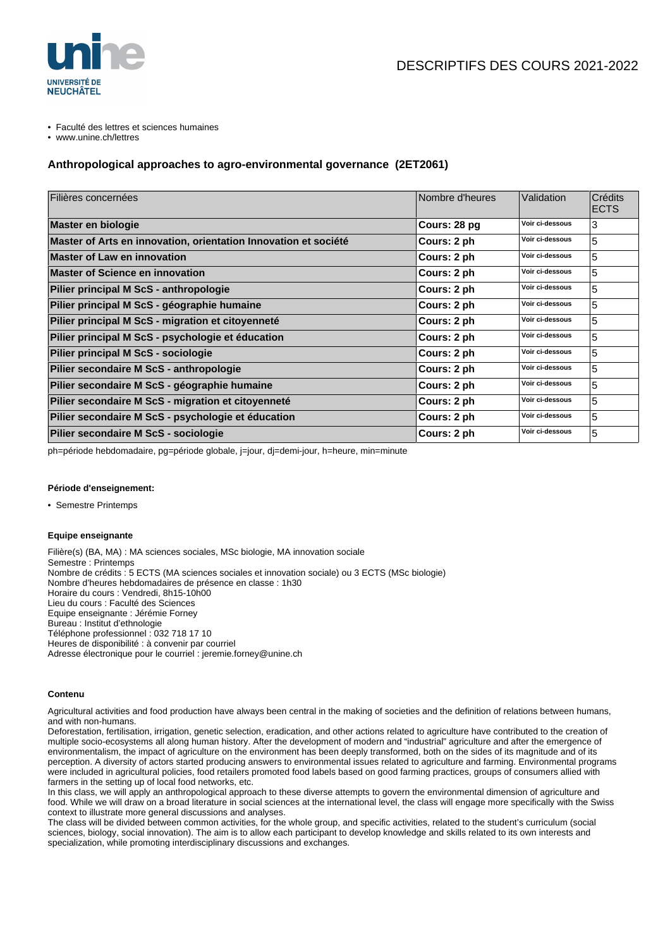

- Faculté des lettres et sciences humaines
- www.unine.ch/lettres

# **Anthropological approaches to agro-environmental governance (2ET2061)**

| Filières concernées                                             | Nombre d'heures | Validation      | Crédits<br><b>ECTS</b> |
|-----------------------------------------------------------------|-----------------|-----------------|------------------------|
| Master en biologie                                              | Cours: 28 pg    | Voir ci-dessous | 3                      |
| Master of Arts en innovation, orientation Innovation et société | Cours: 2 ph     | Voir ci-dessous | 5                      |
| <b>Master of Law en innovation</b>                              | Cours: 2 ph     | Voir ci-dessous | 5                      |
| <b>Master of Science en innovation</b>                          | Cours: 2 ph     | Voir ci-dessous | 5                      |
| Pilier principal M ScS - anthropologie                          | Cours: 2 ph     | Voir ci-dessous | 5                      |
| Pilier principal M ScS - géographie humaine                     | Cours: 2 ph     | Voir ci-dessous | 5                      |
| Pilier principal M ScS - migration et citoyenneté               | Cours: 2 ph     | Voir ci-dessous | 5                      |
| Pilier principal M ScS - psychologie et éducation               | Cours: 2 ph     | Voir ci-dessous | 5                      |
| Pilier principal M ScS - sociologie                             | Cours: 2 ph     | Voir ci-dessous | 5                      |
| Pilier secondaire M ScS - anthropologie                         | Cours: 2 ph     | Voir ci-dessous | 5                      |
| Pilier secondaire M ScS - géographie humaine                    | Cours: 2 ph     | Voir ci-dessous | 5                      |
| Pilier secondaire M ScS - migration et citoyenneté              | Cours: 2 ph     | Voir ci-dessous | 5                      |
| Pilier secondaire M ScS - psychologie et éducation              | Cours: 2 ph     | Voir ci-dessous | 5                      |
| Pilier secondaire M ScS - sociologie                            | Cours: 2 ph     | Voir ci-dessous | 5                      |

ph=période hebdomadaire, pg=période globale, j=jour, dj=demi-jour, h=heure, min=minute

## **Période d'enseignement:**

• Semestre Printemps

# **Equipe enseignante**

Filière(s) (BA, MA) : MA sciences sociales, MSc biologie, MA innovation sociale Semestre : Printemps Nombre de crédits : 5 ECTS (MA sciences sociales et innovation sociale) ou 3 ECTS (MSc biologie) Nombre d'heures hebdomadaires de présence en classe : 1h30 Horaire du cours : Vendredi, 8h15-10h00 Lieu du cours : Faculté des Sciences Equipe enseignante : Jérémie Forney Bureau : Institut d'ethnologie Téléphone professionnel : 032 718 17 10 Heures de disponibilité : à convenir par courriel Adresse électronique pour le courriel : jeremie.forney@unine.ch

# **Contenu**

Agricultural activities and food production have always been central in the making of societies and the definition of relations between humans, and with non-humans.

Deforestation, fertilisation, irrigation, genetic selection, eradication, and other actions related to agriculture have contributed to the creation of multiple socio-ecosystems all along human history. After the development of modern and "industrial" agriculture and after the emergence of environmentalism, the impact of agriculture on the environment has been deeply transformed, both on the sides of its magnitude and of its perception. A diversity of actors started producing answers to environmental issues related to agriculture and farming. Environmental programs were included in agricultural policies, food retailers promoted food labels based on good farming practices, groups of consumers allied with farmers in the setting up of local food networks, etc.

In this class, we will apply an anthropological approach to these diverse attempts to govern the environmental dimension of agriculture and food. While we will draw on a broad literature in social sciences at the international level, the class will engage more specifically with the Swiss context to illustrate more general discussions and analyses.

The class will be divided between common activities, for the whole group, and specific activities, related to the student's curriculum (social sciences, biology, social innovation). The aim is to allow each participant to develop knowledge and skills related to its own interests and specialization, while promoting interdisciplinary discussions and exchanges.